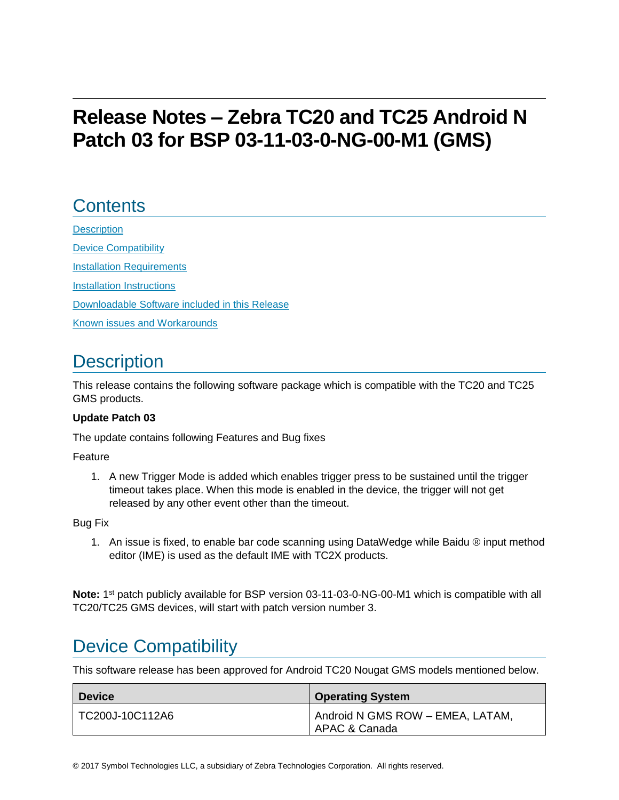# **Release Notes – Zebra TC20 and TC25 Android N Patch 03 for BSP 03-11-03-0-NG-00-M1 (GMS)**

# **Contents**

**[Description](#page-0-0)** [Device Compatibility](#page-0-1) **[Installation Requirements](#page-1-0)** [Installation Instructions](#page-2-0) [Downloadable Software included in this Release](#page-3-0)  Known issues [and](#page-3-1) Workarounds

# <span id="page-0-0"></span>**Description**

This release contains the following software package which is compatible with the TC20 and TC25 GMS products.

#### **Update Patch 03**

The update contains following Features and Bug fixes

Feature

1. A new Trigger Mode is added which enables trigger press to be sustained until the trigger timeout takes place. When this mode is enabled in the device, the trigger will not get released by any other event other than the timeout.

Bug Fix

1. An issue is fixed, to enable bar code scanning using DataWedge while Baidu ® input method editor (IME) is used as the default IME with TC2X products.

Note: 1<sup>st</sup> patch publicly available for BSP version 03-11-03-0-NG-00-M1 which is compatible with all TC20/TC25 GMS devices, will start with patch version number 3.

# <span id="page-0-1"></span>Device Compatibility

This software release has been approved for Android TC20 Nougat GMS models mentioned below.

| <b>Device</b>   | <b>Operating System</b>                           |
|-----------------|---------------------------------------------------|
| TC200J-10C112A6 | Android N GMS ROW - EMEA, LATAM,<br>APAC & Canada |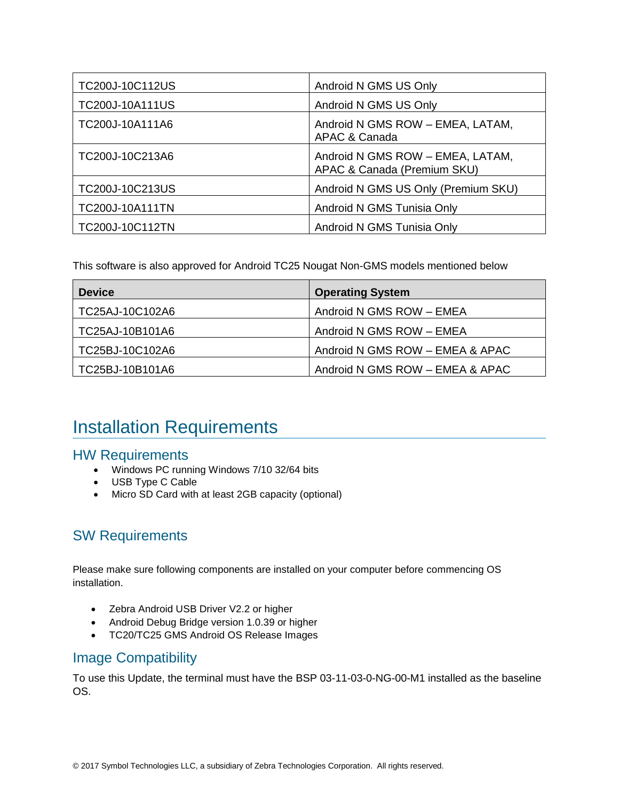| TC200J-10C112US        | Android N GMS US Only                                           |
|------------------------|-----------------------------------------------------------------|
| <b>TC200J-10A111US</b> | Android N GMS US Only                                           |
| TC200J-10A111A6        | Android N GMS ROW - EMEA, LATAM,<br>APAC & Canada               |
| TC200J-10C213A6        | Android N GMS ROW - EMEA, LATAM,<br>APAC & Canada (Premium SKU) |
| TC200J-10C213US        | Android N GMS US Only (Premium SKU)                             |
| TC200J-10A111TN        | Android N GMS Tunisia Only                                      |
| TC200J-10C112TN        | Android N GMS Tunisia Only                                      |

This software is also approved for Android TC25 Nougat Non-GMS models mentioned below

| <b>Device</b>   | <b>Operating System</b>         |
|-----------------|---------------------------------|
| TC25AJ-10C102A6 | Android N GMS ROW - EMEA        |
| TC25AJ-10B101A6 | Android N GMS ROW - EMEA        |
| TC25BJ-10C102A6 | Android N GMS ROW - EMEA & APAC |
| TC25BJ-10B101A6 | Android N GMS ROW - EMEA & APAC |

## <span id="page-1-0"></span>Installation Requirements

#### HW Requirements

- Windows PC running Windows 7/10 32/64 bits
- USB Type C Cable
- Micro SD Card with at least 2GB capacity (optional)

### SW Requirements

Please make sure following components are installed on your computer before commencing OS installation.

- Zebra Android USB Driver V2.2 or higher
- Android Debug Bridge version 1.0.39 or higher
- TC20/TC25 GMS Android OS Release Images

### Image Compatibility

To use this Update, the terminal must have the BSP 03-11-03-0-NG-00-M1 installed as the baseline OS.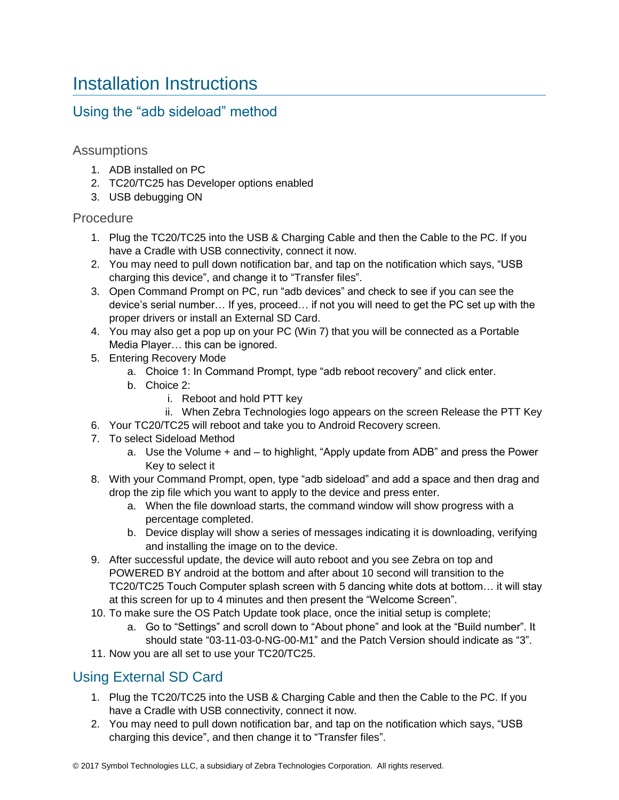## <span id="page-2-0"></span>Installation Instructions

### Using the "adb sideload" method

#### Assumptions

- 1. ADB installed on PC
- 2. TC20/TC25 has Developer options enabled
- 3. USB debugging ON

#### Procedure

- 1. Plug the TC20/TC25 into the USB & Charging Cable and then the Cable to the PC. If you have a Cradle with USB connectivity, connect it now.
- 2. You may need to pull down notification bar, and tap on the notification which says, "USB charging this device", and change it to "Transfer files".
- 3. Open Command Prompt on PC, run "adb devices" and check to see if you can see the device's serial number… If yes, proceed… if not you will need to get the PC set up with the proper drivers or install an External SD Card.
- 4. You may also get a pop up on your PC (Win 7) that you will be connected as a Portable Media Player… this can be ignored.
- 5. Entering Recovery Mode
	- a. Choice 1: In Command Prompt, type "adb reboot recovery" and click enter.
	- b. Choice 2:
		- i. Reboot and hold PTT key
		- ii. When Zebra Technologies logo appears on the screen Release the PTT Key
- 6. Your TC20/TC25 will reboot and take you to Android Recovery screen.
- 7. To select Sideload Method
	- a. Use the Volume + and to highlight, "Apply update from ADB" and press the Power Key to select it
- 8. With your Command Prompt, open, type "adb sideload" and add a space and then drag and drop the zip file which you want to apply to the device and press enter.
	- a. When the file download starts, the command window will show progress with a percentage completed.
	- b. Device display will show a series of messages indicating it is downloading, verifying and installing the image on to the device.
- 9. After successful update, the device will auto reboot and you see Zebra on top and POWERED BY android at the bottom and after about 10 second will transition to the TC20/TC25 Touch Computer splash screen with 5 dancing white dots at bottom… it will stay at this screen for up to 4 minutes and then present the "Welcome Screen".
- 10. To make sure the OS Patch Update took place, once the initial setup is complete;
	- a. Go to "Settings" and scroll down to "About phone" and look at the "Build number". It should state "03-11-03-0-NG-00-M1" and the Patch Version should indicate as "3".
- 11. Now you are all set to use your TC20/TC25.

### Using External SD Card

- 1. Plug the TC20/TC25 into the USB & Charging Cable and then the Cable to the PC. If you have a Cradle with USB connectivity, connect it now.
- 2. You may need to pull down notification bar, and tap on the notification which says, "USB charging this device", and then change it to "Transfer files".